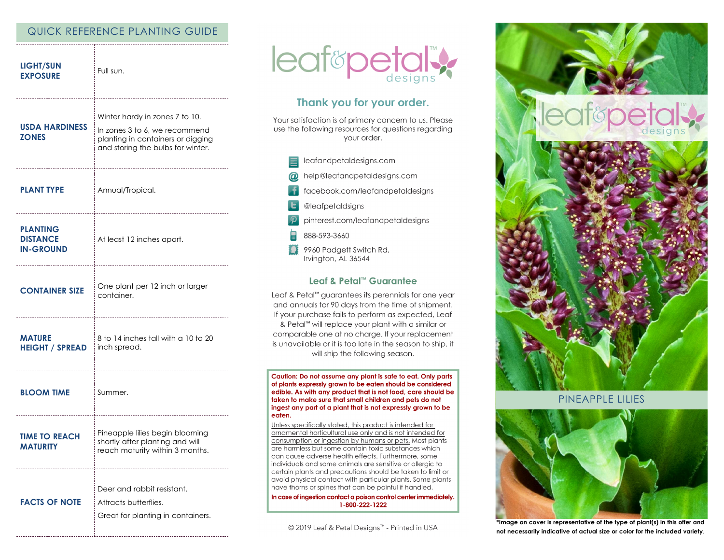# QUICK REFERENCE PLANTING GUIDE

| <b>LIGHT/SUN</b><br><b>EXPOSURE</b>                    | Full sun.                                                                                                                                 |
|--------------------------------------------------------|-------------------------------------------------------------------------------------------------------------------------------------------|
| <b>USDA HARDINESS</b><br><b>ZONES</b>                  | Winter hardy in zones 7 to 10.<br>In zones 3 to 6, we recommend<br>planting in containers or digging<br>and storing the bulbs for winter. |
| <b>PLANT TYPE</b>                                      | Annual/Tropical.                                                                                                                          |
| <b>PLANTING</b><br><b>DISTANCE</b><br><b>IN-GROUND</b> | At least 12 inches apart.<br>-------------------------                                                                                    |
| <b>CONTAINER SIZE</b>                                  | One plant per 12 inch or larger<br>container.                                                                                             |
| <b>MATURE</b><br><b>HEIGHT / SPREAD</b>                | 8 to 14 inches tall with a 10 to 20<br>inch spread.                                                                                       |
| <b>BLOOM TIME</b>                                      | Summer.                                                                                                                                   |
| <b>TIME TO REACH</b><br><b>MATURITY</b>                | Pineapple lilies begin blooming<br>shortly after planting and will<br>reach maturity within 3 months.                                     |
| <b>FACTS OF NOTE</b>                                   | Deer and rabbit resistant.<br>Attracts butterflies.<br>Great for planting in containers.                                                  |



# Thank you for your order.

Your satisfaction is of primary concern to us. Please use the following resources for questions regarding your order.

- leafandpetaldesigns.com
- help@leafandpetaldesigns.com
- facebook.com/leafandpetaldesigns
- @leafpetaldsigns
- pinterest.com/leafandpetaldesigns
- 888-593-3660
- 9960 Padgett Switch Rd. Irvington, AL 36544

## Leaf & Petal™ Guarantee

Leaf & Petal<sup>™</sup> guarantees its perennials for one year and annuals for 90 days from the time of shipment. If your purchase fails to perform as expected, Leaf & Petal™ will replace your plant with a similar or comparable one at no charge. If your replacement is unavailable or it is too late in the season to ship, it will ship the following season.

Caution: Do not assume any plant is safe to eat. Only parts of plants expressly grown to be eaten should be considered edible. As with any product that is not food, care should be taken to make sure that small children and pets do not ingest any part of a plant that is not expressly grown to be eaten.

Unless specifically stated, this product is intended for ornamental horticultural use only and is not intended for consumption or ingestion by humans or pets. Most plants are harmless but some contain toxic substances which can cause adverse health effects. Furthermore, some individuals and some animals are sensitive or allergic to certain plants and precautions should be taken to limit or avoid physical contact with particular plants. Some plants have thorns or spines that can be painful if handled.

In case of ingestion contact a poison control center immediately. 1-800-222-1222

© 2019 Leaf & Petal Designs™ - Printed in USA



PINFAPPLE LILIES



\*Image on cover is representative of the type of plant(s) in this offer and not necessarily indicative of actual size or color for the included variety.